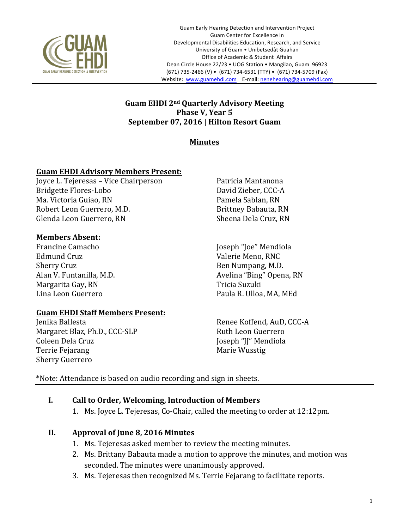

#### **Guam EHDI 2nd Quarterly Advisory Meeting Phase V, Year 5 September 07, 2016 | Hilton Resort Guam**

# **Minutes**

### **Guam EHDI Advisory Members Present:**

Joyce L. Tejeresas - Vice Chairperson Bridgette Flores-Lobo Ma. Victoria Guiao, RN Robert Leon Guerrero, M.D. Glenda Leon Guerrero, RN

#### **Members Absent:**

Francine Camacho Edmund Cruz Sherry Cruz Alan V. Funtanilla, M.D. Margarita Gay, RN Lina Leon Guerrero 

### Guam EHDI Staff Members Present:

Jenika Ballesta Margaret Blaz, Ph.D., CCC-SLP Coleen Dela Cruz Terrie Fejarang Sherry Guerrero

Patricia Mantanona David Zieber, CCC-A Pamela Sablan, RN Brittney Babauta, RN Sheena Dela Cruz, RN

Joseph "Joe" Mendiola Valerie Meno, RNC Ben Numpang, M.D. Avelina "Bing" Opena, RN Tricia Suzuki Paula R. Ulloa, MA, MEd

Renee Koffend, AuD, CCC-A Ruth Leon Guerrero Joseph "JJ" Mendiola Marie Wusstig

\*Note: Attendance is based on audio recording and sign in sheets.

### **I.** Call to Order, Welcoming, Introduction of Members

1. Ms. Joyce L. Tejeresas, Co-Chair, called the meeting to order at 12:12pm.

### **II. Approval of June 8, 2016 Minutes**

- 1. Ms. Tejeresas asked member to review the meeting minutes.
- 2. Ms. Brittany Babauta made a motion to approve the minutes, and motion was seconded. The minutes were unanimously approved.
- 3. Ms. Tejeresas then recognized Ms. Terrie Fejarang to facilitate reports.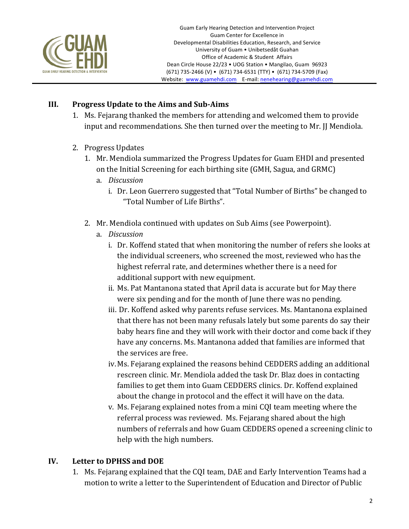

### **III.** Progress Update to the Aims and Sub-Aims

- 1. Ms. Fejarang thanked the members for attending and welcomed them to provide input and recommendations. She then turned over the meeting to Mr. JJ Mendiola.
- 2. Progress Updates
	- 1. Mr. Mendiola summarized the Progress Updates for Guam EHDI and presented on the Initial Screening for each birthing site (GMH, Sagua, and GRMC)
		- a. *Discussion* 
			- i. Dr. Leon Guerrero suggested that "Total Number of Births" be changed to "Total Number of Life Births".
	- 2. Mr. Mendiola continued with updates on Sub Aims (see Powerpoint).
		- a. *Discussion*
			- i. Dr. Koffend stated that when monitoring the number of refers she looks at the individual screeners, who screened the most, reviewed who has the highest referral rate, and determines whether there is a need for additional support with new equipment.
			- ii. Ms. Pat Mantanona stated that April data is accurate but for May there were six pending and for the month of lune there was no pending.
			- iii. Dr. Koffend asked why parents refuse services. Ms. Mantanona explained that there has not been many refusals lately but some parents do say their baby hears fine and they will work with their doctor and come back if they have any concerns. Ms. Mantanona added that families are informed that the services are free.
			- iv. Ms. Fejarang explained the reasons behind CEDDERS adding an additional rescreen clinic. Mr. Mendiola added the task Dr. Blaz does in contacting families to get them into Guam CEDDERS clinics. Dr. Koffend explained about the change in protocol and the effect it will have on the data.
			- v. Ms. Fejarang explained notes from a mini CQI team meeting where the referral process was reviewed. Ms. Fejarang shared about the high numbers of referrals and how Guam CEDDERS opened a screening clinic to help with the high numbers.

### **IV.** Letter to DPHSS and DOE

1. Ms. Fejarang explained that the COI team, DAE and Early Intervention Teams had a motion to write a letter to the Superintendent of Education and Director of Public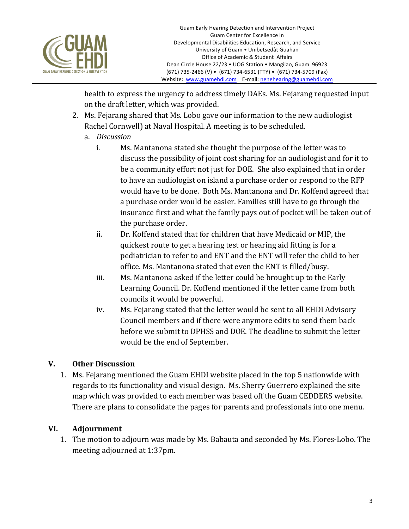

health to express the urgency to address timely DAEs. Ms. Fejarang requested input on the draft letter, which was provided.

- 2. Ms. Fejarang shared that Ms. Lobo gave our information to the new audiologist Rachel Cornwell) at Naval Hospital. A meeting is to be scheduled.
	- a. *Discussion* 
		- i. Ms. Mantanona stated she thought the purpose of the letter was to discuss the possibility of joint cost sharing for an audiologist and for it to be a community effort not just for DOE. She also explained that in order to have an audiologist on island a purchase order or respond to the RFP would have to be done. Both Ms. Mantanona and Dr. Koffend agreed that a purchase order would be easier. Families still have to go through the insurance first and what the family pays out of pocket will be taken out of the purchase order.
		- ii. Dr. Koffend stated that for children that have Medicaid or MIP, the quickest route to get a hearing test or hearing aid fitting is for a pediatrician to refer to and ENT and the ENT will refer the child to her office. Ms. Mantanona stated that even the ENT is filled/busy.
		- iii. Ms. Mantanona asked if the letter could be brought up to the Early Learning Council. Dr. Koffend mentioned if the letter came from both councils it would be powerful.
		- iv. Ms. Fejarang stated that the letter would be sent to all EHDI Advisory Council members and if there were anymore edits to send them back before we submit to DPHSS and DOE. The deadline to submit the letter would be the end of September.

# **V.** Other Discussion

1. Ms. Fejarang mentioned the Guam EHDI website placed in the top 5 nationwide with regards to its functionality and visual design. Ms. Sherry Guerrero explained the site map which was provided to each member was based off the Guam CEDDERS website. There are plans to consolidate the pages for parents and professionals into one menu.

# **VI. Adjournment**

1. The motion to adjourn was made by Ms. Babauta and seconded by Ms. Flores-Lobo. The meeting adjourned at 1:37pm.